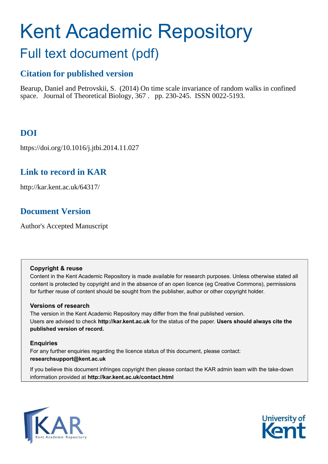# Kent Academic Repository Full text document (pdf)

# **Citation for published version**

Bearup, Daniel and Petrovskii, S. (2014) On time scale invariance of random walks in confined space. Journal of Theoretical Biology, 367. pp. 230-245. ISSN 0022-5193.

# **DOI**

https://doi.org/10.1016/j.jtbi.2014.11.027

# **Link to record in KAR**

http://kar.kent.ac.uk/64317/

# **Document Version**

Author's Accepted Manuscript

### **Copyright & reuse**

Content in the Kent Academic Repository is made available for research purposes. Unless otherwise stated all content is protected by copyright and in the absence of an open licence (eg Creative Commons), permissions for further reuse of content should be sought from the publisher, author or other copyright holder.

### **Versions of research**

The version in the Kent Academic Repository may differ from the final published version. Users are advised to check **http://kar.kent.ac.uk** for the status of the paper. **Users should always cite the published version of record.**

### **Enquiries**

For any further enquiries regarding the licence status of this document, please contact: **researchsupport@kent.ac.uk**

If you believe this document infringes copyright then please contact the KAR admin team with the take-down information provided at **http://kar.kent.ac.uk/contact.html**



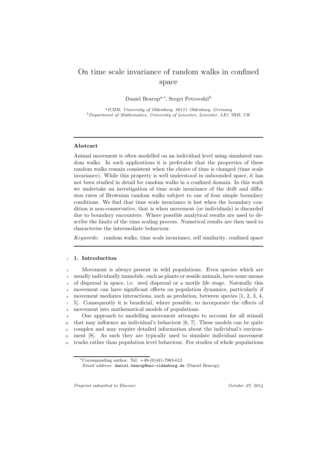### On time scale invariance of random walks in confined space

Daniel Bearup<sup>a,∗</sup>, Sergei Petrovskii<sup>b</sup>

a ICBM, University of Oldenburg, 26111 Oldenburg, Germany <sup>b</sup>Department of Mathematics, University of Leicester, Leicester, LE1 7RH, UK

#### Abstract

Animal movement is often modelled on an individual level using simulated random walks. In such applications it is preferable that the properties of these random walks remain consistent when the choice of time is changed (time scale invariance). While this property is well understood in unbounded space, it has not been studied in detail for random walks in a confined domain. In this work we undertake an investigation of time scale invariance of the drift and diffusion rates of Brownian random walks subject to one of four simple boundary conditions. We find that time scale invariance is lost when the boundary condition is non-conservative, that is when movement (or individuals) is discarded due to boundary encounters. Where possible analytical results are used to describe the limits of the time scaling process. Numerical results are then used to characterise the intermediate behaviour.

Keywords: random walks, time scale invariance, self similarity, confined space

#### <sup>1</sup> 1. Introduction

 Movement is always present in wild populations. Even species which are usually individually immobile, such as plants or sessile animals, have some means of dispersal in space, i.e. seed dispersal or a motile life stage. Naturally this movement can have significant effects on population dynamics, particularly if  $\epsilon$  movement mediates interactions, such as predation, between species [1, 2, 3, 4, 5]. Consequently it is beneficial, where possible, to incorporate the effects of movement into mathematical models of populations.

 One approach to modelling movement attempts to account for all stimuli that may influence an individual's behaviour [6, 7]. These models can be quite complex and may require detailed information about the individual's environ- ment [8]. As such they are typically used to simulate individual movement tracks rather than population level behaviour. For studies of whole populations

Preprint submitted to Elsevier Containers and Coronavia Coronavia Coronavia Coronavia Coronavia Coronavia Coronavia Coronavia Coronavia Coronavia Coronavia Coronavia Coronavia Coronavia Coronavia Coronavia Coronavia Corona

 $*$ Corresponding author. Tel:  $+49-(0)441-7983-612$ 

Email address: daniel.bearup@uni-oldenburg.de (Daniel Bearup)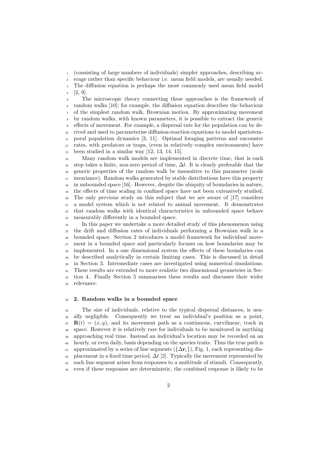(consisting of large numbers of individuals) simpler approaches, describing av- erage rather than specific behaviour i.e. mean field models, are usually needed. The diffusion equation is perhaps the most commonly used mean field model [2, 9].

 The microscopic theory connecting these approaches is the framework of random walks [10]; for example, the diffusion equation describes the behaviour of the simplest random walk, Brownian motion. By approximating movement by random walks, with known parameters, it is possible to extract the generic effects of movement. For example, a dispersal rate for the population can be de- rived and used to parameterise diffusion-reaction equations to model spatiotem- poral population dynamics [3, 11]. Optimal foraging patterns and encounter rates, with predators or traps, (even in relatively complex environments) have been studied in a similar way [12, 13, 14, 15].

 Many random walk models are implemented in discrete time, that is each 15 step takes a finite, non-zero period of time,  $\Delta t$ . It is clearly preferable that the generic properties of the random walk be insensitive to this parameter (scale invariance). Random walks generated by stable distributions have this property in unbounded space [16]. However, despite the ubiquity of boundaries in nature, the effects of time scaling in confined space have not been extensively studied. The only previous study on this subject that we are aware of [17] considers a model system which is not related to animal movement. It demonstrates that random walks with identical characteristics in unbounded space behave measurably differently in a bounded space.

<sup>24</sup> In this paper we undertake a more detailed study of this phenomenon using the drift and diffusion rates of individuals performing a Brownian walk in a bounded space. Section 2 introduces a model framework for individual move- ment in a bounded space and particularly focuses on how boundaries may be implemented. In a one dimensional system the effects of these boundaries can be described analytically in certain limiting cases. This is discussed in detail in Section 3. Intermediate cases are investigated using numerical simulations. These results are extended to more realistic two dimensional geometries in Sec- tion 4. Finally Section 5 summarises these results and discusses their wider relevance.

#### <sup>34</sup> 2. Random walks in a bounded space

 The size of individuals, relative to the typical dispersal distances, is usu- ally negligible. Consequently we treat an individual's position as a point,  $\mathbf{R}(t) = (x, y)$ , and its movement path as a continuous, curvilinear, track in space. However it is relatively rare for individuals to be monitored in anything approaching real time. Instead an individual's location may be recorded on an hourly, or even daily, basis depending on the species traits. Thus the true path is 41 approximated by a series of line segments  $({\Delta} \mathbf{r}_i)$ , Fig. 1, each representing dis-<sup>42</sup> placement in a fixed time period,  $\Delta t$  [2]. Typically the movement represented by each line segment arises from responses to a multitude of stimuli. Consequently, even if these responses are deterministic, the combined response is likely to be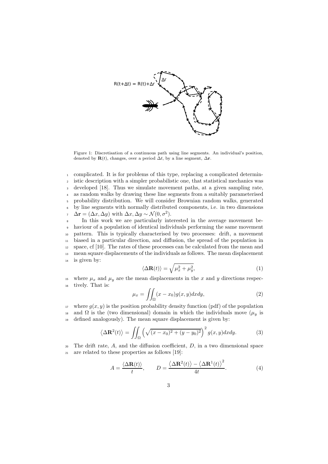

Figure 1: Discretisation of a continuous path using line segments. An individual's position, denoted by  $\mathbf{R}(t)$ , changes, over a period  $\Delta t$ , by a line segment,  $\Delta \mathbf{r}$ .

 complicated. It is for problems of this type, replacing a complicated determin- istic description with a simpler probabilistic one, that statistical mechanics was developed [18]. Thus we simulate movement paths, at a given sampling rate, as random walks by drawing these line segments from a suitably parameterised probability distribution. We will consider Brownian random walks, generated by line segments with normally distributed components, i.e. in two dimensions  $\Delta \mathbf{r} = (\Delta x, \Delta y)$  with  $\Delta x, \Delta y \sim \mathcal{N}(0, \sigma^2)$ .

 In this work we are particularly interested in the average movement be- haviour of a population of identical individuals performing the same movement pattern. This is typically characterised by two processes: drift, a movement biased in a particular direction, and diffusion, the spread of the population in space, cf [10]. The rates of these processes can be calculated from the mean and mean square displacements of the individuals as follows. The mean displacement is given by:

$$
\langle \Delta \mathbf{R}(t) \rangle = \sqrt{\mu_x^2 + \mu_y^2},\tag{1}
$$

<sup>15</sup> where  $\mu_x$  and  $\mu_y$  are the mean displacements in the x and y directions respec-<sup>16</sup> tively. That is:

$$
\mu_x = \iint_{\Omega} (x - x_0) g(x, y) dx dy,
$$
\n(2)

<sup>17</sup> where  $g(x, y)$  is the position probability density function (pdf) of the population <sup>18</sup> and  $\Omega$  is the (two dimensional) domain in which the individuals move ( $\mu_y$  is <sup>19</sup> defined analogously). The mean square displacement is given by:

$$
\langle \Delta \mathbf{R}^2(t) \rangle = \iint_{\Omega} \left( \sqrt{(x - x_0)^2 + (y - y_0)^2} \right)^2 g(x, y) dx dy.
$$
 (3)

<sup>20</sup> The drift rate,  $A$ , and the diffusion coefficient,  $D$ , in a two dimensional space <sup>21</sup> are related to these properties as follows [19]:

$$
A = \frac{\langle \Delta \mathbf{R}(t) \rangle}{t}, \qquad D = \frac{\langle \Delta \mathbf{R}^2(t) \rangle - \langle \Delta \mathbf{R}^1(t) \rangle^2}{4t}.
$$
 (4)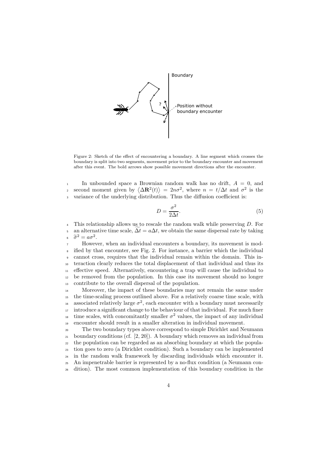

Figure 2: Sketch of the effect of encountering a boundary. A line segment which crosses the boundary is split into two segments, movement prior to the boundary encounter and movement after this event. The bold arrows show possible movement directions after the encounter.

<sup>1</sup> In unbounded space a Brownian random walk has no drift,  $A = 0$ , and second moment given by  $\langle \Delta \mathbf{R}^2(t) \rangle = 2n\sigma^2$ , where  $n = t/\Delta t$  and  $\sigma^2$  is the <sup>3</sup> variance of the underlying distribution. Thus the diffusion coefficient is:

$$
D = \frac{\sigma^2}{2\Delta t}.\tag{5}
$$

<sup>4</sup> This relationship allows us to rescale the random walk while preserving D. For 5 an alternative time scale,  $\Delta t = a\Delta t$ , we obtain the same dispersal rate by taking 6  $\widetilde{\sigma}^2 = a\sigma^2$ .

 However, when an individual encounters a boundary, its movement is mod- ified by that encounter, see Fig. 2. For instance, a barrier which the individual cannot cross, requires that the individual remain within the domain. This in- teraction clearly reduces the total displacement of that individual and thus its effective speed. Alternatively, encountering a trap will cause the individual to be removed from the population. In this case its movement should no longer contribute to the overall dispersal of the population.

 Moreover, the impact of these boundaries may not remain the same under the time-scaling process outlined above. For a relatively coarse time scale, with <sup>16</sup> associated relatively large  $\sigma^2$ , each encounter with a boundary must necessarily introduce a significant change to the behaviour of that individual. For much finer <sup>18</sup> time scales, with concomitantly smaller  $\sigma^2$  values, the impact of any individual encounter should result in a smaller alteration in individual movement.

 The two boundary types above correspond to simple Dirichlet and Neumann boundary conditions (cf. [2, 20]). A boundary which removes an individual from the population can be regarded as an absorbing boundary at which the popula- tion goes to zero (a Dirichlet condition). Such a boundary can be implemented in the random walk framework by discarding individuals which encounter it. An impenetrable barrier is represented by a no-flux condition (a Neumann con-dition). The most common implementation of this boundary condition in the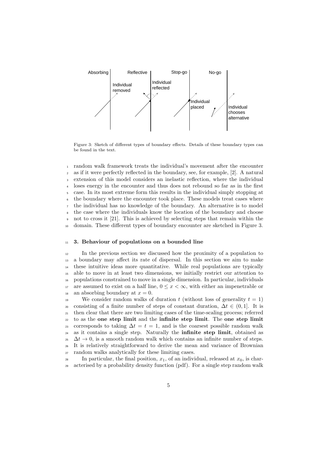

Figure 3: Sketch of different types of boundary effects. Details of these boundary types can be found in the text.

 random walk framework treats the individual's movement after the encounter as if it were perfectly reflected in the boundary, see, for example, [2]. A natural extension of this model considers an inelastic reflection, where the individual loses energy in the encounter and thus does not rebound so far as in the first case. In its most extreme form this results in the individual simply stopping at the boundary where the encounter took place. These models treat cases where the individual has no knowledge of the boundary. An alternative is to model the case where the individuals know the location of the boundary and choose not to cross it [21]. This is achieved by selecting steps that remain within the domain. These different types of boundary encounter are sketched in Figure 3.

#### 11 3. Behaviour of populations on a bounded line

 In the previous section we discussed how the proximity of a population to a boundary may affect its rate of dispersal. In this section we aim to make these intuitive ideas more quantitative. While real populations are typically able to move in at least two dimensions, we initially restrict our attention to populations constrained to move in a single dimension. In particular, individuals 17 are assumed to exist on a half line,  $0 \leq x < \infty$ , with either an impenetrable or <sup>18</sup> an absorbing boundary at  $x = 0$ .

<sup>19</sup> We consider random walks of duration t (without loss of generality  $t = 1$ ) 20 consisting of a finite number of steps of constant duration,  $\Delta t \in (0, 1]$ . It is <sup>21</sup> then clear that there are two limiting cases of the time-scaling process; referred <sup>22</sup> to as the one step limit and the infinite step limit. The one step limit 23 corresponds to taking  $\Delta t = t = 1$ , and is the coarsest possible random walk <sup>24</sup> as it contains a single step. Naturally the **infinite step limit**, obtained as 25  $\Delta t \rightarrow 0$ , is a smooth random walk which contains an infinite number of steps.<br>26 It is relatively straightforward to derive the mean and variance of Brownian <sup>26</sup> It is relatively straightforward to derive the mean and variance of Brownian <sup>27</sup> random walks analytically for these limiting cases.

28 In particular, the final position,  $x_1$ , of an individual, released at  $x_0$ , is char-<sup>29</sup> acterised by a probability density function (pdf). For a single step random walk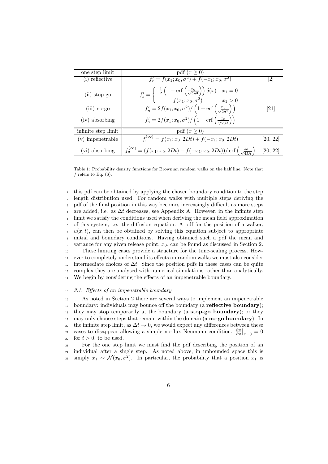| one step limit              | pdf $(x > 0)$                                                                                                                                                                                                                                                                                                                                                                             |                   |
|-----------------------------|-------------------------------------------------------------------------------------------------------------------------------------------------------------------------------------------------------------------------------------------------------------------------------------------------------------------------------------------------------------------------------------------|-------------------|
| (i) reflective              | $f'_r = f(x_1; x_0, \sigma^2) + f(-x_1; x_0, \sigma^2)$                                                                                                                                                                                                                                                                                                                                   | 2                 |
| (ii) stop-go<br>(iii) no-go | $f'_s = \begin{cases} \frac{1}{2} \left(1 - \text{erf}\left(\frac{x_0}{\sqrt{2\sigma^2}}\right)\right)\delta(x) & x_1 = 0 \\ f(x_1; x_0, \sigma^2) & x_1 > 0 \end{cases}$<br>$f'_n = 2f(x_1; x_0, \sigma^2)/\left(1 + \text{erf}\left(\frac{x_0}{\sqrt{2\sigma^2}}\right)\right)$<br>$f'_a = 2f(x_1; x_0, \sigma^2)/\left(1 + \text{erf}\left(\frac{x_0}{\sqrt{2\sigma^2}}\right)\right)$ | $\left 21\right $ |
| (iv) absorbing              |                                                                                                                                                                                                                                                                                                                                                                                           |                   |
| infinite step limit         | pdf $(x \geq 0)$                                                                                                                                                                                                                                                                                                                                                                          |                   |
| $(v)$ imperetrable          | $f_i^{(\infty)} = f(x_1; x_0, 2Dt) + f(-x_1; x_0, 2Dt)$                                                                                                                                                                                                                                                                                                                                   | [20, 22]          |
| (vi) absorbing              | $f_a^{(\infty)} = (f(x_1; x_0, 2Dt) - f(-x_1; x_0, 2Dt)) / \text{erf}\left(\frac{x_0}{\sqrt{ADt}}\right)$                                                                                                                                                                                                                                                                                 | [20, 22]          |

Table 1: Probability density functions for Brownian random walks on the half line. Note that f refers to Eq.  $(6)$ .

 this pdf can be obtained by applying the chosen boundary condition to the step length distribution used. For random walks with multiple steps deriving the pdf of the final position in this way becomes increasingly difficult as more steps are added, i.e. as  $\Delta t$  decreases, see Appendix A. However, in the infinite step limit we satisfy the conditions used when deriving the mean field approximation of this system, i.e. the diffusion equation. A pdf for the position of a walker,  $u(x, t)$ , can then be obtained by solving this equation subject to appropriate initial and boundary conditions. Having obtained such a pdf the mean and 9 variance for any given release point,  $x_0$ , can be found as discussed in Section 2. These limiting cases provide a structure for the time-scaling process. How- ever to completely understand its effects on random walks we must also consider 12 intermediate choices of  $\Delta t$ . Since the position pdfs in these cases can be quite complex they are analysed with numerical simulations rather than analytically. We begin by considering the effects of an impenetrable boundary.

#### <sup>15</sup> 3.1. Effects of an impenetrable boundary

<sup>16</sup> As noted in Section 2 there are several ways to implement an impenetrable  $17$  boundary: individuals may bounce off the boundary (a reflective boundary); <sup>18</sup> they may stop temporarily at the boundary (a **stop-go boundary**); or they <sup>19</sup> may only choose steps that remain within the domain (a **no-go boundary**). In <sup>20</sup> the infinite step limit, as  $\Delta t \rightarrow 0$ , we would expect any differences between these 21 cases to disappear allowing a simple no-flux Neumann condition,  $\frac{\partial u}{\partial x}\Big|_{x=0} = 0$ 22 for  $t > 0$ , to be used.

<sup>23</sup> For the one step limit we must find the pdf describing the position of an <sup>24</sup> individual after a single step. As noted above, in unbounded space this is  $\text{simply } x_1 \sim \mathcal{N}(x_0, \sigma^2)$ . In particular, the probability that a position  $x_1$  is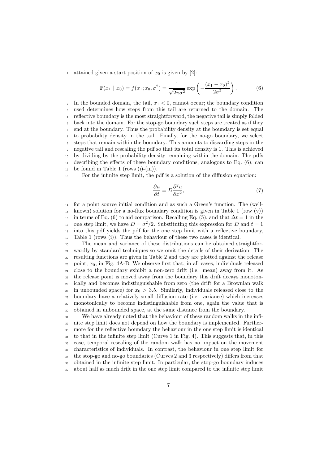1 attained given a start position of  $x_0$  is given by [2]:

$$
\mathbb{P}(x_1 \mid x_0) = f(x_1; x_0, \sigma^2) = \frac{1}{\sqrt{2\pi\sigma^2}} \exp\left(-\frac{(x_1 - x_0)^2}{2\sigma^2}\right).
$$
 (6)

2 In the bounded domain, the tail,  $x_1 < 0$ , cannot occur; the boundary condition used determines how steps from this tail are returned to the domain. The reflective boundary is the most straightforward, the negative tail is simply folded back into the domain. For the stop-go boundary such steps are treated as if they end at the boundary. Thus the probability density at the boundary is set equal to probability density in the tail. Finally, for the no-go boundary, we select steps that remain within the boundary. This amounts to discarding steps in the negative tail and rescaling the pdf so that its total density is 1. This is achieved by dividing by the probability density remaining within the domain. The pdfs  $_{11}$  describing the effects of these boundary conditions, analogous to Eq. (6), can  $_{12}$  be found in Table 1 (rows (i)-(iii)).

For the infinite step limit, the pdf is a solution of the diffusion equation:

$$
\frac{\partial u}{\partial t} = D \frac{\partial^2 u}{\partial x^2},\tag{7}
$$

 for a point source initial condition and as such a Green's function. The (well- $_{15}$  known) solution for a no-flux boundary condition is given in Table 1 (row (v)) <sup>16</sup> in terms of Eq. (6) to aid comparison. Recalling Eq. (5), and that  $\Delta t = 1$  in the 17 one step limit, we have  $D = \sigma^2/2$ . Substituting this expression for D and  $t = 1$  into this pdf yields the pdf for the one step limit with a reflective boundary, Table 1 (rows (i)). Thus the behaviour of these two cases is identical.

 The mean and variance of these distributions can be obtained straightfor- wardly by standard techniques so we omit the details of their derivation. The resulting functions are given in Table 2 and they are plotted against the release 23 point,  $x_0$ , in Fig. 4A-B. We observe first that, in all cases, individuals released close to the boundary exhibit a non-zero drift (i.e. mean) away from it. As the release point is moved away from the boundary this drift decays monoton- ically and becomes indistinguishable from zero (the drift for a Brownian walk <sub>27</sub> in unbounded space) for  $x_0 > 3.5$ . Similarly, individuals released close to the boundary have a relatively small diffusion rate (i.e. variance) which increases monotonically to become indistinguishable from one, again the value that is obtained in unbounded space, at the same distance from the boundary.

 We have already noted that the behaviour of these random walks in the infi- nite step limit does not depend on how the boundary is implemented. Further- more for the reflective boundary the behaviour in the one step limit is identical to that in the infinite step limit (Curve 1 in Fig. 4). This suggests that, in this case, temporal rescaling of the random walk has no impact on the movement characteristics of individuals. In contrast, the behaviour in one step limit for the stop-go and no-go boundaries (Curves 2 and 3 respectively) differs from that obtained in the infinite step limit. In particular, the stop-go boundary induces about half as much drift in the one step limit compared to the infinite step limit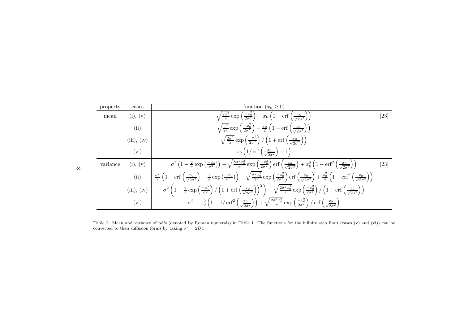| property | cases       | function $(x_0 \geq 0)$                                                                                                                                                                                                                                                                                                                                                  |                   |
|----------|-------------|--------------------------------------------------------------------------------------------------------------------------------------------------------------------------------------------------------------------------------------------------------------------------------------------------------------------------------------------------------------------------|-------------------|
| mean     | (i), (v)    | $\sqrt{\frac{2\sigma^2}{\pi}} \exp\left(\frac{-x_0^2}{2\sigma^2}\right) - x_0 \left(1 - \text{erf}\left(\frac{x_0}{\sqrt{2\sigma^2}}\right)\right)$                                                                                                                                                                                                                      | [23]              |
|          | (ii)        | $\sqrt{\frac{\sigma^2}{2\pi}}\exp\left(\frac{-x_0^2}{2\sigma^2}\right)-\frac{x_0}{2}\left(1-\text{erf}\left(\frac{x_0}{\sqrt{2\sigma^2}}\right)\right)$                                                                                                                                                                                                                  |                   |
|          | (iii), (iv) | $\sqrt{\frac{2\sigma^2}{\pi}} \exp\left(\frac{-x_0^2}{2\sigma^2}\right) / \left(1 + \text{erf}\left(\frac{x_0}{\sqrt{2\sigma^2}}\right)\right)$                                                                                                                                                                                                                          |                   |
|          | (vi)        | $x_0\left(1/\text{erf}\left(\frac{x_0}{\sqrt{2\sigma^2}}\right)-1\right)$                                                                                                                                                                                                                                                                                                |                   |
| variance | (i), (v)    | $\sigma^2\left(1-\frac{2}{\pi}\exp\left(\frac{-x_0}{\sigma^2}\right)\right)-\sqrt{\frac{8\sigma^2x_0^2}{\pi}}\exp\left(\frac{-x_0^2}{2\sigma^2}\right)\text{erf}\left(\frac{x_0}{\sqrt{2\sigma^2}}\right)+x_0^2\left(1-\text{erf}^2\left(\frac{x_0}{\sqrt{2\sigma^2}}\right)\right)$                                                                                     | $\left[23\right]$ |
|          | (ii)        | $\frac{\sigma^2}{2}\left(1+\text{erf}\left(\frac{x_0}{\sqrt{2\sigma^2}}\right)-\frac{1}{\pi}\text{exp}\left(\frac{-x_0}{\sigma^2}\right)\right)-\sqrt{\frac{\sigma^2x_0^2}{2\pi}}\text{exp}\left(\frac{-x_0^2}{2\sigma^2}\right)\text{erf}\left(\frac{x_0}{\sqrt{2\sigma^2}}\right)+\frac{x_0^2}{4}\left(1-\text{erf}^2\left(\frac{x_0}{\sqrt{2\sigma^2}}\right)\right)$ |                   |
|          | (iii), (iv) | $\sigma^2\left(1-\frac{2}{\pi}\exp\left(\frac{-x_0^2}{\sigma^2}\right)/\left(1+\text{erf}\left(\frac{x_0}{\sqrt{2\sigma^2}}\right)\right)^2\right)-\sqrt{\frac{2\sigma^2x_0^2}{\pi}}\exp\left(\frac{-x_0^2}{2\sigma^2}\right)/\left(1+\text{erf}\left(\frac{x_0}{\sqrt{2\sigma^2}}\right)\right)$                                                                        |                   |
|          | (vi)        | $\sigma^2 + x_0^2 \left(1 - 1/\text{erf}^2\left(\frac{x_0}{\sqrt{2\sigma^2}}\right)\right) + \sqrt{\frac{2\sigma^2 x_0^2}{\pi}} \exp\left(\frac{-x_0^2}{2\sigma^2}\right) / \text{erf}\left(\frac{x_0}{\sqrt{2\sigma^2}}\right)$                                                                                                                                         |                   |

 $\infty$ 

Table 2: Mean and variance of pdfs (denoted by Roman numerals) in Table 1. The functions for the infinite step limit (cases (v) and (vi)) can be converted to their diffusion forms by taking  $\sigma^2 = 2Dt$ .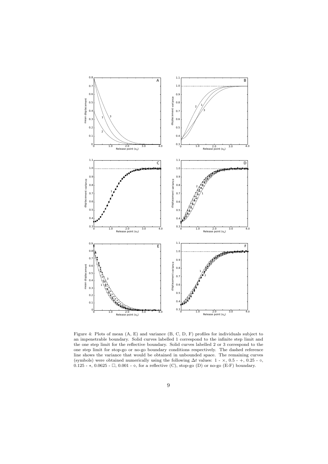

Figure 4: Plots of mean (A, E) and variance (B, C, D, F) profiles for individuals subject to an impenetrable boundary. Solid curves labelled 1 correspond to the infinite step limit and the one step limit for the reflective boundary. Solid curves labelled 2 or 3 correspond to the one step limit for stop-go or no-go boundary conditions respectively. The dashed reference line shows the variance that would be obtained in unbounded space. The remaining curves (symbols) were obtained numerically using the following  $\Delta t$  values: 1 -  $\times$ , 0.5 - +, 0.25 - ∘, 0.125 -  $\star$ , 0.0625 -  $\Box$ , 0.001 -  $\diamond$ , for a reflective (C), stop-go (D) or no-go (E-F) boundary.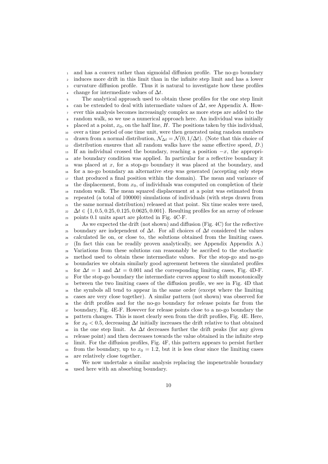and has a convex rather than sigmoidal diffusion profile. The no-go boundary induces more drift in this limit than in the infinite step limit and has a lower curvature diffusion profile. Thus it is natural to investigate how these profiles 4 change for intermediate values of  $\Delta t$ .

 The analytical approach used to obtain these profiles for the one step limit 6 can be extended to deal with intermediate values of  $\Delta t$ , see Appendix A. How- ever this analysis becomes increasingly complex as more steps are added to the random walk, so we use a numerical approach here. An individual was initially  $\Box$  placed at a point,  $x_0$ , on the half line, H. The positions taken by this individual, over a time period of one time unit, were then generated using random numbers 11 drawn from a normal distribution,  $\mathcal{N}_{\Delta t} = \mathcal{N}(0, 1/\Delta t)$ . (Note that this choice of  $_{12}$  distribution ensures that all random walks have the same effective speed,  $D$ .) If an individual crossed the boundary, reaching a position  $-x$ , the appropri- ate boundary condition was applied. In particular for a reflective boundary it was placed at x, for a stop-go boundary it was placed at the boundary, and for a no-go boundary an alternative step was generated (accepting only steps that produced a final position within the domain). The mean and variance of <sup>18</sup> the displacement, from  $x_0$ , of individuals was computed on completion of their random walk. The mean squared displacement at a point was estimated from repeated (a total of 100000) simulations of individuals (with steps drawn from the same normal distribution) released at that point. Six time scales were used,  $22 \Delta t \in \{1, 0.5, 0.25, 0.125, 0.0625, 0.001\}.$  Resulting profiles for an array of release points 0.1 units apart are plotted in Fig. 4C-F.

 As we expected the drift (not shown) and diffusion (Fig. 4C) for the reflective 25 boundary are independent of  $\Delta t$ . For all choices of  $\Delta t$  considered the values calculated lie on, or close to, the solutions obtained from the limiting cases. (In fact this can be readily proven analytically, see Appendix Appendix A.) Variations from these solutions can reasonably be ascribed to the stochastic method used to obtain these intermediate values. For the stop-go and no-go boundaries we obtain similarly good agreement between the simulated profiles 31 for  $\Delta t = 1$  and  $\Delta t = 0.001$  and the corresponding limiting cases, Fig. 4D-F. For the stop-go boundary the intermediate curves appear to shift monotonically between the two limiting cases of the diffusion profile, we see in Fig. 4D that <sup>34</sup> the symbols all tend to appear in the same order (except where the limiting cases are very close together). A similar pattern (not shown) was observed for the drift profiles and for the no-go boundary for release points far from the boundary, Fig. 4E-F. However for release points close to a no-go boundary the pattern changes. This is most clearly seen from the drift profiles, Fig. 4E. Here, <sup>39</sup> for  $x_0 < 0.5$ , decreasing  $\Delta t$  initially increases the drift relative to that obtained <sup>40</sup> in the one step limit. As  $\Delta t$  decreases further the drift peaks (for any given release point) and then decreases towards the value obtained in the infinite step limit. For the diffusion profiles, Fig. 4F, this pattern appears to persist further 43 from the boundary, up to  $x_0 = 1.2$ , but it is less clear since the limiting cases are relatively close together.

<sup>45</sup> We now undertake a similar analysis replacing the impenetrable boundary used here with an absorbing boundary.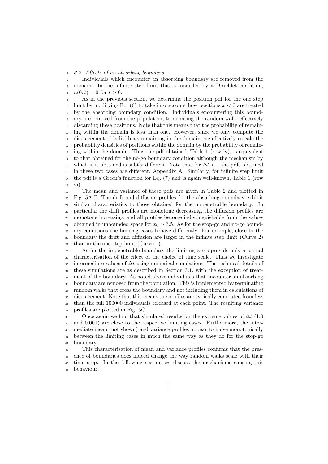#### 3.2. Effects of an absorbing boundary

 Individuals which encounter an absorbing boundary are removed from the domain. In the infinite step limit this is modelled by a Dirichlet condition, 4  $u(0, t) = 0$  for  $t > 0$ .

 As in the previous section, we determine the position pdf for the one step 6 limit by modifying Eq. (6) to take into account how positions  $x < 0$  are treated by the absorbing boundary condition. Individuals encountering this bound- ary are removed from the population, terminating the random walk, effectively discarding these positions. Note that this means that the probability of remain- ing within the domain is less than one. However, since we only compute the displacement of individuals remaining in the domain, we effectively rescale the probability densities of positions within the domain by the probability of remain- $_{13}$  ing within the domain. Thus the pdf obtained, Table 1 (row iv), is equivalent to that obtained for the no-go boundary condition although the mechanism by <sup>15</sup> which it is obtained is subtly different. Note that for  $\Delta t < 1$  the pdfs obtained in these two cases are different, Appendix A. Similarly, for infinite step limit the pdf is a Green's function for Eq. (7) and is again well-known, Table 1 (row vi).

 The mean and variance of these pdfs are given in Table 2 and plotted in Fig. 5A-B. The drift and diffusion profiles for the absorbing boundary exhibit similar characteristics to those obtained for the impenetrable boundary. In particular the drift profiles are monotone decreasing, the diffusion profiles are monotone increasing, and all profiles become indistinguishable from the values <sup>24</sup> obtained in unbounded space for  $x_0 > 3.5$ . As for the stop-go and no-go bound- ary conditions the limiting cases behave differently. For example, close to the boundary the drift and diffusion are larger in the infinite step limit (Curve 2) than in the one step limit (Curve 1).

 As for the impenetrable boundary the limiting cases provide only a partial characterisation of the effect of the choice of time scale. Thus we investigate 30 intermediate values of  $\Delta t$  using numerical simulations. The technical details of these simulations are as described in Section 3.1, with the exception of treat- ment of the boundary. As noted above individuals that encounter an absorbing boundary are removed from the population. This is implemented by terminating <sup>34</sup> random walks that cross the boundary and not including them in calculations of displacement. Note that this means the profiles are typically computed from less than the full 100000 individuals released at each point. The resulting variance profiles are plotted in Fig. 5C.

38 Once again we find that simulated results for the extreme values of  $\Delta t$  (1.0 and 0.001) are close to the respective limiting cases. Furthermore, the inter- mediate mean (not shown) and variance profiles appear to move monotonically between the limiting cases in much the same way as they do for the stop-go boundary.

 This characterisation of mean and variance profiles confirms that the pres- ence of boundaries does indeed change the way random walks scale with their time step. In the following section we discuss the mechanisms causing this behaviour.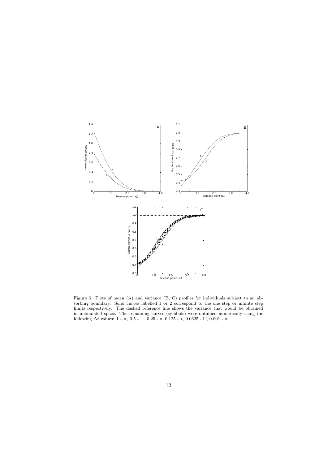

Figure 5: Plots of mean (A) and variance (B, C) profiles for individuals subject to an absorbing boundary. Solid curves labelled 1 or 2 correspond to the one step or infinite step limits respectively. The dashed reference line shows the variance that would be obtained in unbounded space. The remaining curves (symbols) were obtained numerically using the following  $\Delta t$  values: 1 - ×, 0.5 - +, 0.25 - ∘, 0.125 - ∗, 0.0625 -  $\Box$ , 0.001 - ◇.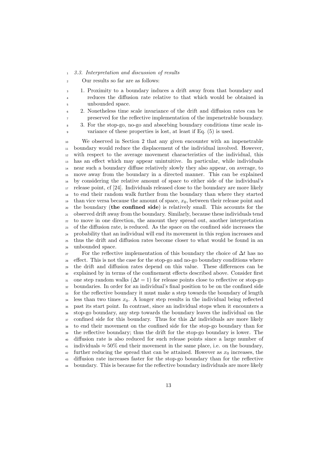#### 3.3. Interpretation and discussion of results

- Our results so far are as follows:
- 1. Proximity to a boundary induces a drift away from that boundary and reduces the diffusion rate relative to that which would be obtained in unbounded space.
- 2. Nonetheless time scale invariance of the drift and diffusion rates can be
- preserved for the reflective implementation of the impenetrable boundary.

 3. For the stop-go, no-go and absorbing boundary conditions time scale in-variance of these properties is lost, at least if Eq. (5) is used.

 We observed in Section 2 that any given encounter with an impenetrable boundary would reduce the displacement of the individual involved. However, with respect to the average movement characteristics of the individual, this has an effect which may appear unintuitive. In particular, while individuals near such a boundary diffuse relatively slowly they also appear, on average, to move away from the boundary in a directed manner. This can be explained by considering the relative amount of space to either side of the individual's release point, cf [24]. Individuals released close to the boundary are more likely to end their random walk further from the boundary than where they started <sup>19</sup> than vice versa because the amount of space,  $x_0$ , between their release point and the boundary (the confined side) is relatively small. This accounts for the observed drift away from the boundary. Similarly, because these individuals tend to move in one direction, the amount they spread out, another interpretation of the diffusion rate, is reduced. As the space on the confined side increases the probability that an individual will end its movement in this region increases and thus the drift and diffusion rates become closer to what would be found in an unbounded space.

 For the reflective implementation of this boundary the choice of  $\Delta t$  has no effect. This is not the case for the stop-go and no-go boundary conditions where the drift and diffusion rates depend on this value. These differences can be explained by in terms of the confinement effects described above. Consider first 31 one step random walks  $(\Delta t = 1)$  for release points close to reflective or stop-go boundaries. In order for an individual's final position to be on the confined side <sup>33</sup> for the reflective boundary it must make a step towards the boundary of length <sup>34</sup> less than two times  $x_0$ . A longer step results in the individual being reflected past its start point. In contrast, since an individual stops when it encounters a stop-go boundary, any step towards the boundary leaves the individual on the 37 confined side for this boundary. Thus for this  $\Delta t$  individuals are more likely to end their movement on the confined side for the stop-go boundary than for the reflective boundary; thus the drift for the stop-go boundary is lower. The diffusion rate is also reduced for such release points since a large number of 41 individuals  $\approx 50\%$  end their movement in the same place, i.e. on the boundary, <sup>42</sup> further reducing the spread that can be attained. However as  $x_0$  increases, the diffusion rate increases faster for the stop-go boundary than for the reflective boundary. This is because for the reflective boundary individuals are more likely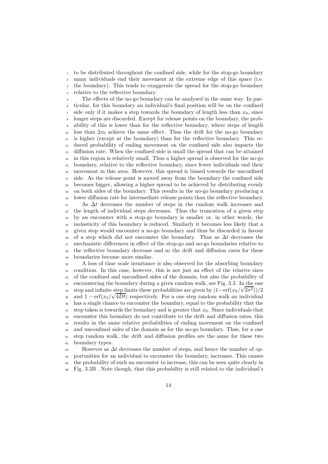to be distributed throughout the confined side, while for the stop-go boundary many individuals end their movement at the extreme edge of this space (i.e. the boundary). This tends to exaggerate the spread for the stop-go boundary relative to the reflective boundary.

 The effects of the no-go boundary can be analysed in the same way. In par- ticular, for this boundary an individual's final position will be on the confined  $\tau$  side only if it makes a step towards the boundary of length less than  $x_0$ , since longer steps are discarded. Except for release points on the boundary, the prob- ability of this is lower than for the reflective boundary, where steps of length <sup>10</sup> less than  $2x_0$  achieve the same effect. Thus the drift for the no-go boundary is higher (except at the boundary) than for the reflective boundary. This re- duced probability of ending movement on the confined side also impacts the diffusion rate. When the confined side is small the spread that can be attained in this region is relatively small. Thus a higher spread is observed for the no-go boundary, relative to the reflective boundary, since fewer individuals end their movement in this area. However, this spread is biased towards the unconfined <sup>17</sup> side. As the release point is moved away from the boundary the confined side becomes bigger, allowing a higher spread to be achieved by distributing evenly on both sides of the boundary. This results in the no-go boundary producing a lower diffusion rate for intermediate release points than the reflective boundary. 21 As  $\Delta t$  decreases the number of steps in the random walk increases and

 the length of individual steps decreases. Thus the truncation of a given step by an encounter with a stop-go boundary is smaller or, in other words, the inelasticity of this boundary is reduced. Similarly it becomes less likely that a given step would encounter a no-go boundary and thus be discarded in favour 26 of a step which did not encounter the boundary. Thus as  $\Delta t$  decreases the mechanistic differences in effect of the stop-go and no-go boundaries relative to the reflective boundary decrease and so the drift and diffusion rates for these boundaries become more similar.

 A loss of time scale invariance is also observed for the absorbing boundary condition. In this case, however, this is not just an effect of the relative sizes of the confined and unconfined sides of the domain, but also the probability of encountering the boundary during a given random walk, see Fig. 3.3. In the one step and infinite step limits these probabilities are given by  $(1 - erf(x_0/\sqrt{2\sigma^2}))/2$ and  $1 - \text{erf}(x_0/\sqrt{4Dt})$  respectively. For a one step random walk an individual has a single chance to encounter the boundary, equal to the probability that the step taken is towards the boundary and is greater that  $x_0$ . Since individuals that encounter this boundary do not contribute to the drift and diffusion rates, this results in the same relative probabilities of ending movement on the confined and unconfined sides of the domain as for the no-go boundary. Thus, for a one step random walk, the drift and diffusion profiles are the same for these two boundary types.

 $\frac{43}{43}$  However as  $\Delta t$  decreases the number of steps, and hence the number of op- portunities for an individual to encounter the boundary, increases. This causes the probability of such an encounter to increase, this can be seen quite clearly in Fig. 3.3B . Note though, that this probability is still related to the individual's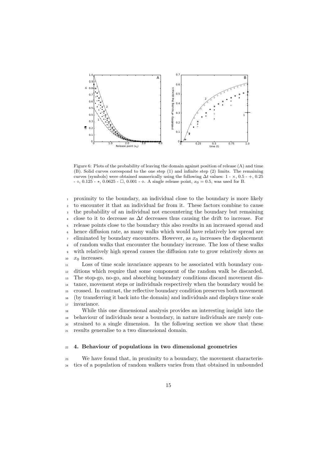

Figure 6: Plots of the probability of leaving the domain against position of release (A) and time (B). Solid curves correspond to the one step (1) and infinite step (2) limits. The remaining curves (symbols) were obtained numerically using the following  $\Delta t$  values: 1 -  $\times$ , 0.5 - +, 0.25 -  $\circ$ , 0.125 -  $\ast$ , 0.0625 -  $\Box$ , 0.001 -  $\circ$ . A single release point,  $x_0 = 0.5$ , was used for B.

 proximity to the boundary, an individual close to the boundary is more likely to encounter it that an individual far from it. These factors combine to cause the probability of an individual not encountering the boundary but remaining 4 close to it to decrease as  $\Delta t$  decreases thus causing the drift to increase. For release points close to the boundary this also results in an increased spread and hence diffusion rate, as many walks which would have relatively low spread are <sup>7</sup> eliminated by boundary encounters. However, as  $x_0$  increases the displacement of random walks that encounter the boundary increase. The loss of these walks with relatively high spread causes the diffusion rate to grow relatively slows as  $10 \quad x_0$  increases.

 Loss of time scale invariance appears to be associated with boundary con- ditions which require that some component of the random walk be discarded. The stop-go, no-go, and absorbing boundary conditions discard movement dis- tance, movement steps or individuals respectively when the boundary would be crossed. In contrast, the reflective boundary condition preserves both movement (by transferring it back into the domain) and individuals and displays time scale invariance.

 While this one dimensional analysis provides an interesting insight into the behaviour of individuals near a boundary, in nature individuals are rarely con- strained to a single dimension. In the following section we show that these results generalise to a two dimensional domain.

#### $22$  4. Behaviour of populations in two dimensional geometries

<sup>23</sup> We have found that, in proximity to a boundary, the movement characteris-<sup>24</sup> tics of a population of random walkers varies from that obtained in unbounded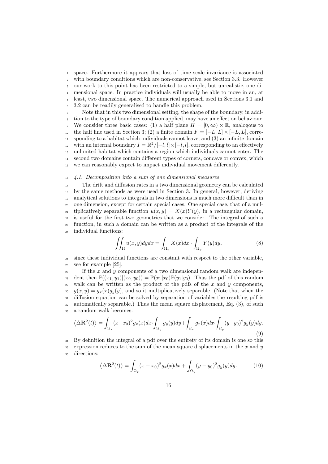space. Furthermore it appears that loss of time scale invariance is associated with boundary conditions which are non-conservative, see Section 3.3. However our work to this point has been restricted to a simple, but unrealistic, one di- mensional space. In practice individuals will usually be able to move in an, at least, two dimensional space. The numerical approach used in Sections 3.1 and 3.2 can be readily generalised to handle this problem.

Note that in this two dimensional setting, the shape of the boundary, in addi-<sup>8</sup> tion to the type of boundary condition applied, may have an effect on behaviour. 9 We consider three basic cases: (1) a half plane  $H = [0, \infty) \times \mathbb{R}$ , analogous to 10 the half line used in Section 3; (2) a finite domain  $F = [-L, L] \times [-L, L]$ , corre- $_{11}$  sponding to a habitat which individuals cannot leave; and (3) an infinite domain with an internal boundary  $I = \mathbb{R}^2 / [-l, l] \times [-l, l]$ , corresponding to an effectively <sup>13</sup> unlimited habitat which contains a region which individuals cannot enter. The <sup>14</sup> second two domains contain different types of corners, concave or convex, which <sup>15</sup> we can reasonably expect to impact individual movement differently.

#### <sup>16</sup> 4.1. Decomposition into a sum of one dimensional measures

 The drift and diffusion rates in a two dimensional geometry can be calculated by the same methods as were used in Section 3. In general, however, deriving analytical solutions to integrals in two dimensions is much more difficult than in one dimension, except for certain special cases. One special case, that of a mul-21 tiplicatively separable function  $u(x, y) = X(x)Y(y)$ , in a rectangular domain, is useful for the first two geometries that we consider. The integral of such a function, in such a domain can be written as a product of the integrals of the individual functions:

$$
\iint_{\Omega} u(x, y) dy dx = \int_{\Omega_x} X(x) dx \cdot \int_{\Omega_y} Y(y) dy,
$$
\n(8)

<sup>25</sup> since these individual functions are constant with respect to the other variable, <sup>26</sup> see for example [25].

 $\frac{1}{27}$  If the x and y components of a two dimensional random walk are indepen-28 dent then  $\mathbb{P}((x_1,y_1)|(x_0,y_0)) = \mathbb{P}(x_1|x_0)\mathbb{P}(y_1|y_0)$ . Thus the pdf of this random <sup>29</sup> walk can be written as the product of the pdfs of the x and y components, <sup>30</sup>  $g(x, y) = g_x(x)g_y(y)$ , and so it multiplicatively separable. (Note that when the <sup>31</sup> diffusion equation can be solved by separation of variables the resulting pdf is <sup>32</sup> automatically separable.) Thus the mean square displacement, Eq. (3), of such <sup>33</sup> a random walk becomes:

$$
\left\langle \Delta \mathbf{R}^2(t) \right\rangle = \int_{\Omega_x} (x - x_0)^2 g_x(x) dx \cdot \int_{\Omega_y} g_y(y) dy + \int_{\Omega_x} g_x(x) dx \cdot \int_{\Omega_y} (y - y_0)^2 g_y(y) dy.
$$
\n(9)

<sup>34</sup> By definition the integral of a pdf over the entirety of its domain is one so this  $\frac{35}{35}$  expression reduces to the sum of the mean square displacements in the x and y <sup>36</sup> directions:

$$
\left\langle \Delta \mathbf{R}^2(t) \right\rangle = \int_{\Omega_x} (x - x_0)^2 g_x(x) dx + \int_{\Omega_y} (y - y_0)^2 g_y(y) dy.
$$
 (10)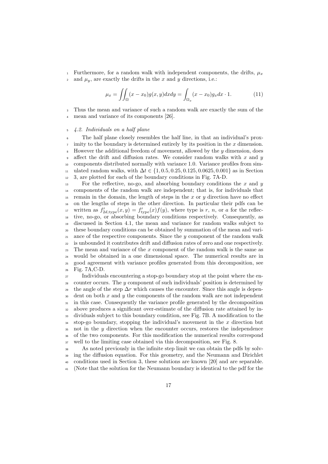<sup>1</sup> Furthermore, for a random walk with independent components, the drifts,  $\mu_x$ 2 and  $\mu_y$ , are exactly the drifts in the x and y directions, i.e.:

$$
\mu_x = \iint_{\Omega} (x - x_0) g(x, y) dx dy = \int_{\Omega_x} (x - x_0) g_x dx \cdot 1. \tag{11}
$$

<sup>3</sup> Thus the mean and variance of such a random walk are exactly the sum of the <sup>4</sup> mean and variance of its components [26].

#### <sup>5</sup> 4.2. Individuals on a half plane

<sup>6</sup> The half plane closely resembles the half line, in that an individual's prox- $\tau$  imity to the boundary is determined entirely by its position in the x dimension. However the additional freedom of movement, allowed by the  $y$  dimension, does  $\bullet$  affect the drift and diffusion rates. We consider random walks with x and y <sup>10</sup> components distributed normally with variance 1.0. Variance profiles from sim-<sup>11</sup> ulated random walks, with  $\Delta t \in \{1, 0.5, 0.25, 0.125, 0.0625, 0.001\}$  as in Section <br><sup>12</sup> 3, are plotted for each of the boundary conditions in Fig. 7A-D. <sup>12</sup> 3, are plotted for each of the boundary conditions in Fig. 7A-D.

13 For the reflective, no-go, and absorbing boundary conditions the x and y components of the random walk are independent; that is, for individuals that <sup>15</sup> remain in the domain, the length of steps in the x or y direction have no effect on the lengths of steps in the other direction. In particular their pdfs can be <sup>17</sup> written as  $f'_{2d, \text{type}}(x, y) = f'_{\text{type}}(x) f(y)$ , where type is r, n, or a for the reflec- tive, no-go, or absorbing boundary conditions respectively. Consequently, as discussed in Section 4.1, the mean and variance for random walks subject to these boundary conditions can be obtained by summation of the mean and vari- $_{21}$  ance of the respective components. Since the y component of the random walk is unbounded it contributes drift and diffusion rates of zero and one respectively. The mean and variance of the x component of the random walk is the same as would be obtained in a one dimensional space. The numerical results are in good agreement with variance profiles generated from this decomposition, see Fig. 7A, C-D.

 Individuals encountering a stop-go boundary stop at the point where the en-<sup>28</sup> counter occurs. The y component of such individuals' position is determined by <sup>29</sup> the angle of the step  $\Delta r$  which causes the encounter. Since this angle is depen- $\alpha$  dent on both x and y the components of the random walk are not independent in this case. Consequently the variance profile generated by the decomposition above produces a significant over-estimate of the diffusion rate attained by in- dividuals subject to this boundary condition, see Fig. 7B. A modification to the stop-go boundary, stopping the individual's movement in the x direction but not in the y direction when the encounter occurs, restores the independence of the two components. For this modification the numerical results correspond well to the limiting case obtained via this decomposition, see Fig. 8.

 As noted previously in the infinite step limit we can obtain the pdfs by solv-<sup>39</sup> ing the diffusion equation. For this geometry, and the Neumann and Dirichlet conditions used in Section 3, these solutions are known [20] and are separable. (Note that the solution for the Neumann boundary is identical to the pdf for the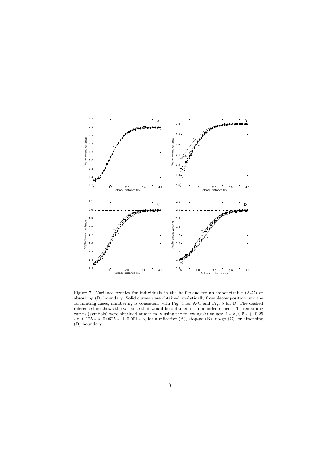

Figure 7: Variance profiles for individuals in the half plane for an impenetrable (A-C) or absorbing (D) boundary. Solid curves were obtained analytically from decomposition into the 1d limiting cases; numbering is consistent with Fig. 4 for A-C and Fig. 5 for D. The dashed reference line shows the variance that would be obtained in unbounded space. The remaining curves (symbols) were obtained numerically using the following  $\Delta t$  values: 1 - ×, 0.5 - +, 0.25 -  $\circ$ , 0.125 -  $\ast$ , 0.0625 - □, 0.001 -  $\circ$ , for a reflective (A), stop-go (B), no-go (C), or absorbing (D) boundary.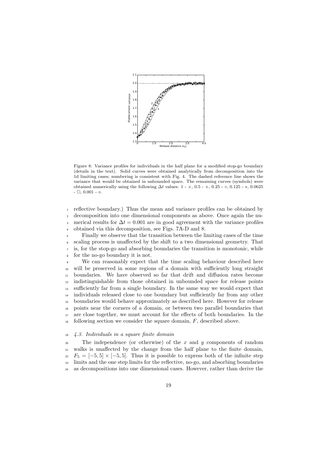

Figure 8: Variance profiles for individuals in the half plane for a modified stop-go boundary (details in the text). Solid curves were obtained analytically from decomposition into the 1d limiting cases; numbering is consistent with Fig. 4. The dashed reference line shows the variance that would be obtained in unbounded space. The remaining curves (symbols) were obtained numerically using the following  $\Delta t$  values: 1 -  $\times$ , 0.5 - +, 0.25 - ∘, 0.125 - ∗, 0.0625  $- \Box$ , 0.001 -  $\diamond$ .

 reflective boundary.) Thus the mean and variance profiles can be obtained by decomposition into one dimensional components as above. Once again the nu-3 merical results for  $\Delta t = 0.001$  are in good agreement with the variance profiles obtained via this decomposition, see Figs. 7A-D and 8.

 Finally we observe that the transition between the limiting cases of the time scaling process is unaffected by the shift to a two dimensional geometry. That is, for the stop-go and absorbing boundaries the transition is monotonic, while for the no-go boundary it is not.

 We can reasonably expect that the time scaling behaviour described here will be preserved in some regions of a domain with sufficiently long straight boundaries. We have observed so far that drift and diffusion rates become indistinguishable from those obtained in unbounded space for release points sufficiently far from a single boundary. In the same way we would expect that individuals released close to one boundary but sufficiently far from any other boundaries would behave approximately as described here. However for release points near the corners of a domain, or between two parallel boundaries that are close together, we must account for the effects of both boundaries. In the following section we consider the square domain,  $F$ , described above.

#### <sup>19</sup> 4.3. Individuals in a square finite domain

 The independence (or otherwise) of the x and y components of random walks is unaffected by the change from the half plane to the finite domain,  $F_5 = [-5, 5] \times [-5, 5]$ . Thus it is possible to express both of the infinite step limits and the one step limits for the reflective, no-go, and absorbing boundaries as decompositions into one dimensional cases. However, rather than derive the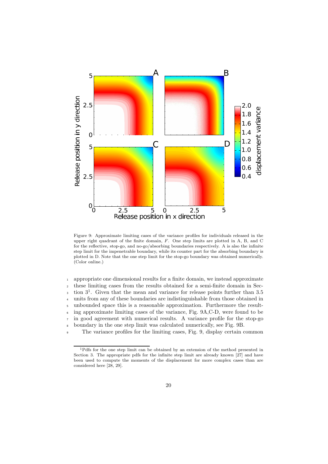

Figure 9: Approximate limiting cases of the variance profiles for individuals released in the upper right quadrant of the finite domain, F. One step limits are plotted in A, B, and C for the reflective, stop-go, and no-go/absorbing boundaries respectively. A is also the infinite step limit for the impenetrable boundary, while its counter part for the absorbing boundary is plotted in D. Note that the one step limit for the stop-go boundary was obtained numerically. (Color online.)

 appropriate one dimensional results for a finite domain, we instead approximate these limiting cases from the results obtained for a semi-finite domain in Sec- $3<sup>1</sup>$ . Given that the mean and variance for release points further than 3.5 units from any of these boundaries are indistinguishable from those obtained in unbounded space this is a reasonable approximation. Furthermore the result- ing approximate limiting cases of the variance, Fig. 9A,C-D, were found to be in good agreement with numerical results. A variance profile for the stop-go boundary in the one step limit was calculated numerically, see Fig. 9B.

<sup>9</sup> The variance profiles for the limiting cases, Fig. 9, display certain common

<sup>1</sup>Pdfs for the one step limit can be obtained by an extension of the method presented in Section 3. The appropriate pdfs for the infinite step limit are already known [27] and have been used to compute the moments of the displacement for more complex cases than are considered here [28, 29].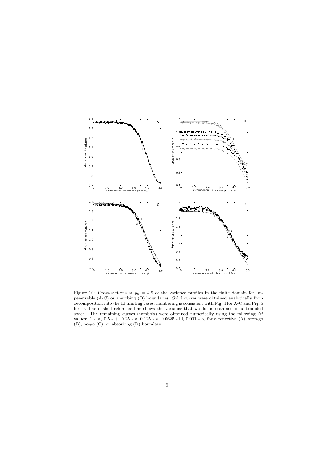

Figure 10: Cross-sections at  $y_0 = 4.9$  of the variance profiles in the finite domain for impenetrable (A-C) or absorbing (D) boundaries. Solid curves were obtained analytically from decomposition into the 1d limiting cases; numbering is consistent with Fig. 4 for A-C and Fig. 5 for D. The dashed reference line shows the variance that would be obtained in unbounded space. The remaining curves (symbols) were obtained numerically using the following  $\Delta t$ values:  $1 - \times$ ,  $0.5 - +$ ,  $0.25 - \circ$ ,  $0.125 - *$ ,  $0.0625 - \Box$ ,  $0.001 - \circ$ , for a reflective (A), stop-go (B), no-go (C), or absorbing (D) boundary.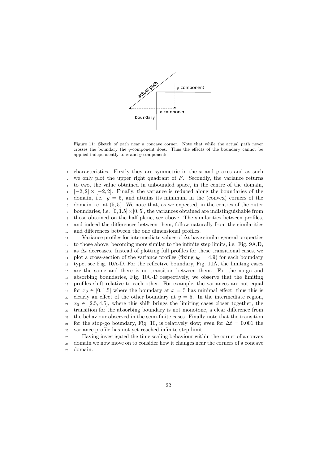

Figure 11: Sketch of path near a concave corner. Note that while the actual path never crosses the boundary the y-component does. Thus the effects of the boundary cannot be applied independently to  $x$  and  $y$  components.

1 characteristics. Firstly they are symmetric in the x and y axes and as such  $2$  we only plot the upper right quadrant of  $F$ . Secondly, the variance returns <sup>3</sup> to two, the value obtained in unbounded space, in the centre of the domain,  $-2, 2] \times [-2, 2]$ . Finally, the variance is reduced along the boundaries of the 5 domain, i.e.  $y = 5$ , and attains its minimum in the (convex) corners of the  $\epsilon$  domain i.e. at (5,5). We note that, as we expected, in the centres of the outer  $\tau$  boundaries, i.e.  $[0, 1.5] \times [0, 5]$ , the variances obtained are indistinguishable from <sup>8</sup> those obtained on the half plane, see above. The similarities between profiles, <sup>9</sup> and indeed the differences between them, follow naturally from the similarities <sup>10</sup> and differences between the one dimensional profiles.

11 Variance profiles for intermediate values of  $\Delta t$  have similar general properties <sup>12</sup> to those above, becoming more similar to the infinite step limits, i.e. Fig. 9A,D, <sup>13</sup> as  $\Delta t$  decreases. Instead of plotting full profiles for these transitional cases, we <sup>14</sup> plot a cross-section of the variance profiles (fixing  $y_0 = 4.9$ ) for each boundary <sup>15</sup> type, see Fig. 10A-D. For the reflective boundary, Fig. 10A, the limiting cases <sup>16</sup> are the same and there is no transition between them. For the no-go and <sup>17</sup> absorbing boundaries, Fig. 10C-D respectively, we observe that the limiting <sup>18</sup> profiles shift relative to each other. For example, the variances are not equal 19 for  $x_0 \in [0, 1.5]$  where the boundary at  $x = 5$  has minimal effect; thus this is <sup>20</sup> clearly an effect of the other boundary at  $y = 5$ . In the intermediate region,  $x_0 \in [2.5, 4.5]$ , where this shift brings the limiting cases closer together, the <sup>22</sup> transition for the absorbing boundary is not monotone, a clear difference from <sup>23</sup> the behaviour observed in the semi-finite cases. Finally note that the transition <sup>24</sup> for the stop-go boundary, Fig. 10, is relatively slow; even for  $\Delta t = 0.001$  the <sup>25</sup> variance profile has not yet reached infinite step limit.

<sup>26</sup> Having investigated the time scaling behaviour within the corner of a convex <sup>27</sup> domain we now move on to consider how it changes near the corners of a concave

<sup>28</sup> domain.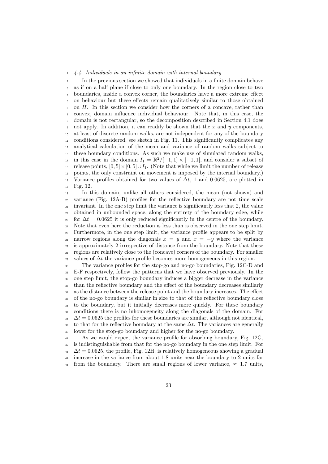#### 4.4. Individuals in an infinite domain with internal boundary

 In the previous section we showed that individuals in a finite domain behave as if on a half plane if close to only one boundary. In the region close to two boundaries, inside a convex corner, the boundaries have a more extreme effect on behaviour but these effects remain qualitatively similar to those obtained on  $H$ . In this section we consider how the corners of a concave, rather than convex, domain influence individual behaviour. Note that, in this case, the domain is not rectangular, so the decomposition described in Section 4.1 does  $\bullet$  not apply. In addition, it can readily be shown that the x and y components, at least of discrete random walks, are not independent for any of the boundary conditions considered, see sketch in Fig. 11. This significantly complicates any analytical calculation of the mean and variance of random walks subject to these boundary conditions. As such we make use of simulated random walks, <sup>14</sup> in this case in the domain  $I_1 = \mathbb{R}^2/[-1,1] \times [-1,1]$ , and consider a subset of 15 release points,  $[0, 5] \times [0, 5] \cup I_1$ . (Note that while we limit the number of release points, the only constraint on movement is imposed by the internal boundary.) 17 Variance profiles obtained for two values of  $\Delta t$ , 1 and 0.0625, are plotted in Fig. 12.

 In this domain, unlike all others considered, the mean (not shown) and variance (Fig. 12A-B) profiles for the reflective boundary are not time scale invariant. In the one step limit the variance is significantly less that 2, the value obtained in unbounded space, along the entirety of the boundary edge, while <sup>23</sup> for  $\Delta t = 0.0625$  it is only reduced significantly in the centre of the boundary. Note that even here the reduction is less than is observed in the one step limit. Furthermore, in the one step limit, the variance profile appears to be split by 26 narrow regions along the diagonals  $x = y$  and  $x = -y$  where the variance  $y = y$  is approximately 2 irrespective of distance from the boundary. Note that these is approximately 2 irrespective of distance from the boundary. Note that these regions are relatively close to the (concave) corners of the boundary. For smaller <sup>29</sup> values of  $\Delta t$  the variance profile becomes more homogeneous in this region.

 The variance profiles for the stop-go and no-go boundaries, Fig. 12C-D and E-F respectively, follow the patterns that we have observed previously. In the one step limit, the stop-go boundary induces a bigger decrease in the variance than the reflective boundary and the effect of the boundary decreases similarly <sup>34</sup> as the distance between the release point and the boundary increases. The effect of the no-go boundary is similar in size to that of the reflective boundary close to the boundary, but it initially decreases more quickly. For these boundary conditions there is no inhomogeneity along the diagonals of the domain. For  $\Delta t = 0.0625$  the profiles for these boundaries are similar, although not identical, 39 to that for the reflective boundary at the same  $\Delta t$ . The variances are generally lower for the stop-go boundary and higher for the no-go boundary.

 As we would expect the variance profile for absorbing boundary, Fig. 12G, is indistinguishable from that for the no-go boundary in the one step limit. For  $\Delta t = 0.0625$ , the profile, Fig. 12H, is relatively homogeneous showing a gradual increase in the variance from about 1.8 units near the boundary to 2 units far <sup>45</sup> from the boundary. There are small regions of lower variance,  $\approx 1.7$  units,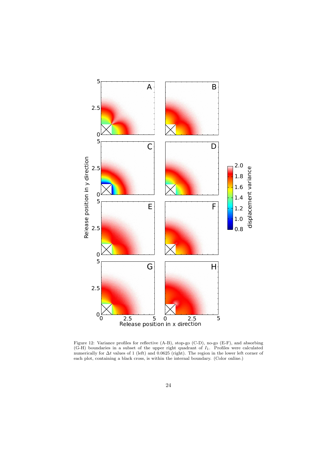

Figure 12: Variance profiles for reflective (A-B), stop-go (C-D), no-go (E-F), and absorbing  $(G-H)$  boundaries in a subset of the upper right quadrant of  $I_1$ . Profiles were calculated numerically for  $\Delta t$  values of 1 (left) and 0.0625 (right). The region in the lower left corner of each plot, containing a black cross, is within the internal boundary. (Color online.)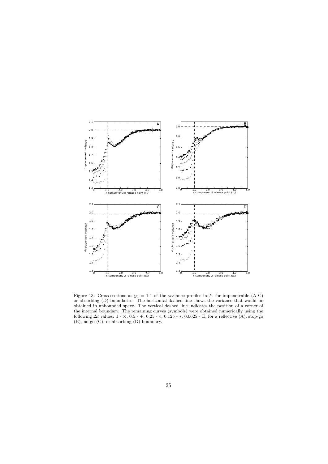

Figure 13: Cross-sections at  $y_0 = 1.1$  of the variance profiles in  $I_1$  for impenetrable (A-C) or absorbing (D) boundaries. The horizontal dashed line shows the variance that would be obtained in unbounded space. The vertical dashed line indicates the position of a corner of the internal boundary. The remaining curves (symbols) were obtained numerically using the following  $\Delta t$  values: 1 - ×, 0.5 - +, 0.25 - ∘, 0.125 - ∗, 0.0625 - □, for a reflective (A), stop-go (B), no-go (C), or absorbing (D) boundary.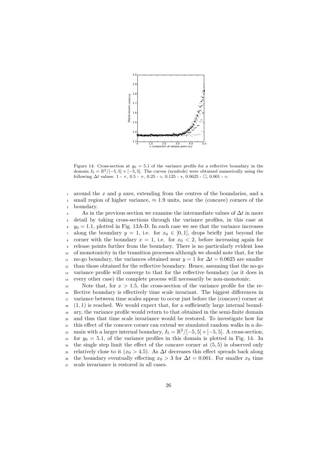

Figure 14: Cross-section at  $y_0 = 5.1$  of the variance profile for a reflective boundary in the domain  $I_5 = \mathbb{R}^2/[-5, 5] \times [-5, 5]$ . The curves (symbols) were obtained numerically using the following  $\Delta t$  values:  $1 - \times$ ,  $0.5 - +$ ,  $0.25 - \circ$ ,  $0.125 - *$ ,  $0.0625 - \Box$ ,  $0.001 - \circ$ .

1 around the x and y axes, extending from the centres of the boundaries, and a 2 small region of higher variance,  $\approx 1.9$  units, near the (concave) corners of the <sup>3</sup> boundary.

4 As in the previous section we examine the intermediate values of  $\Delta t$  in more <sup>5</sup> detail by taking cross-sections through the variance profiles, in this case at  $y_0 = 1.1$ , plotted in Fig. 13A-D. In each case we see that the variance increases along the boundary  $y = 1$ , i.e. for  $x_0 \in [0, 1]$ , drops briefly just beyond the s corner with the boundary  $x = 1$ , i.e. for  $x<sub>0</sub> < 2$ , before increasing again for <sup>9</sup> release points further from the boundary. There is no particularly evident loss <sup>10</sup> of monotonicity in the transition processes although we should note that, for the 11 no-go boundary, the variances obtained near  $y = 1$  for  $\Delta t = 0.0625$  are smaller <sup>12</sup> than those obtained for the reflective boundary. Hence, assuming that the no-go <sup>13</sup> variance profile will converge to that for the reflective boundary (as it does in <sup>14</sup> every other case) the complete process will necessarily be non-monotonic.

15 Note that, for  $x > 1.5$ , the cross-section of the variance profile for the re-<sup>16</sup> flective boundary is effectively time scale invariant. The biggest differences in <sup>17</sup> variance between time scales appear to occur just before the (concave) corner at  $18 \quad (1, 1)$  is reached. We would expect that, for a sufficiently large internal bound-<sup>19</sup> ary, the variance profile would return to that obtained in the semi-finite domain <sup>20</sup> and thus that time scale invariance would be restored. To investigate how far <sup>21</sup> this effect of the concave corner can extend we simulated random walks in a do-22 main with a larger internal boundary,  $I_5 = \mathbb{R}^2 / [-5, 5] \times [-5, 5]$ . A cross-section, <sup>23</sup> for  $y_0 = 5.1$ , of the variance profiles in this domain is plotted in Fig. 14. In <sup>24</sup> the single step limit the effect of the concave corner at  $(5, 5)$  is observed only <sup>25</sup> relatively close to it ( $x_0 > 4.5$ ). As  $\Delta t$  decreases this effect spreads back along <sup>26</sup> the boundary eventually effecting  $x_0 > 3$  for  $\Delta t = 0.001$ . For smaller  $x_0$  time <sup>27</sup> scale invariance is restored in all cases.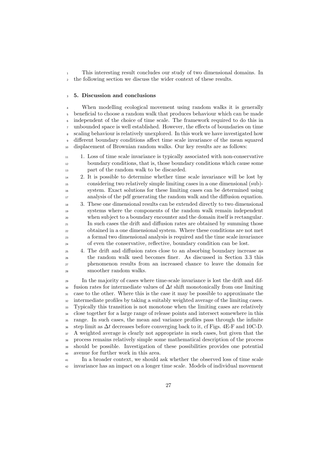This interesting result concludes our study of two dimensional domains. In the following section we discuss the wider context of these results.

#### 5. Discussion and conclusions

 When modelling ecological movement using random walks it is generally beneficial to choose a random walk that produces behaviour which can be made independent of the choice of time scale. The framework required to do this in unbounded space is well established. However, the effects of boundaries on time scaling behaviour is relatively unexplored. In this work we have investigated how different boundary conditions affect time scale invariance of the mean squared displacement of Brownian random walks. Our key results are as follows:

 1. Loss of time scale invariance is typically associated with non-conservative boundary conditions, that is, those boundary conditions which cause some part of the random walk to be discarded.

<sup>14</sup> 2. It is possible to determine whether time scale invariance will be lost by considering two relatively simple limiting cases in a one dimensional (sub)- system. Exact solutions for these limiting cases can be determined using analysis of the pdf generating the random walk and the diffusion equation.

 3. These one dimensional results can be extended directly to two dimensional systems where the components of the random walk remain independent when subject to a boundary encounter and the domain itself is rectangular. In such cases the drift and diffusion rates are obtained by summing those obtained in a one dimensional system. Where these conditions are not met a formal two dimensional analysis is required and the time scale invariance of even the conservative, reflective, boundary condition can be lost.

 4. The drift and diffusion rates close to an absorbing boundary increase as the random walk used becomes finer. As discussed in Section 3.3 this phenomenon results from an increased chance to leave the domain for smoother random walks.

 In the majority of cases where time-scale invariance is lost the drift and dif-<sup>30</sup> fusion rates for intermediate values of  $\Delta t$  shift monotonically from one limiting case to the other. Where this is the case it may be possible to approximate the <sup>32</sup> intermediate profiles by taking a suitably weighted average of the limiting cases. Typically this transition is not monotone when the limiting cases are relatively close together for a large range of release points and intersect somewhere in this range. In such cases, the mean and variance profiles pass through the infinite 36 step limit as  $\Delta t$  decreases before converging back to it, cf Figs. 4E-F and 10C-D. A weighted average is clearly not appropriate in such cases, but given that the process remains relatively simple some mathematical description of the process should be possible. Investigation of these possibilities provides one potential avenue for further work in this area.

 In a broader context, we should ask whether the observed loss of time scale invariance has an impact on a longer time scale. Models of individual movement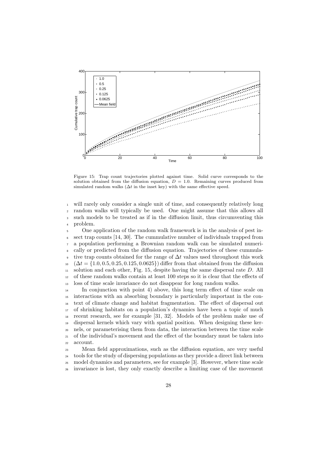

Figure 15: Trap count trajectories plotted against time. Solid curve corresponds to the solution obtained from the diffusion equation,  $D = 1.0$ . Remaining curves produced from simulated random walks ( $\Delta t$  in the inset key) with the same effective speed.

 will rarely only consider a single unit of time, and consequently relatively long random walks will typically be used. One might assume that this allows all such models to be treated as if in the diffusion limit, thus circumventing this problem.

 One application of the random walk framework is in the analysis of pest in- sect trap counts [14, 30]. The cummulative number of individuals trapped from a population performing a Brownian random walk can be simulated numeri- cally or predicted from the diffusion equation. Trajectories of these cummula-9 tive trap counts obtained for the range of  $\Delta t$  values used throughout this work  $10 \left( \Delta t = \{1.0, 0.5, 0.25, 0.125, 0.0625\} \right)$  differ from that obtained from the diffusion<br>11 solution and each other. Fig. 15, despite having the same dispersal rate D. All solution and each other, Fig. 15, despite having the same dispersal rate  $D$ . All of these random walks contain at least 100 steps so it is clear that the effects of loss of time scale invariance do not disappear for long random walks.

 In conjunction with point 4) above, this long term effect of time scale on interactions with an absorbing boundary is particularly important in the con- text of climate change and habitat fragmentation. The effect of dispersal out of shrinking habitats on a population's dynamics have been a topic of much recent research, see for example [31, 32]. Models of the problem make use of dispersal kernels which vary with spatial position. When designing these ker- nels, or parameterising them from data, the interaction between the time scale of the individual's movement and the effect of the boundary must be taken into account.

 Mean field approximations, such as the diffusion equation, are very useful tools for the study of dispersing populations as they provide a direct link between model dynamics and parameters, see for example [3]. However, where time scale invariance is lost, they only exactly describe a limiting case of the movement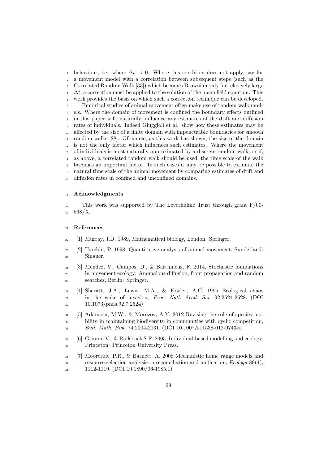<sub>1</sub> behaviour, i.e. where  $\Delta t \rightarrow 0$ . Where this condition does not apply, say for a movement model with a correlation between subsequent steps (such as the Correlated Random Walk [33]) which becomes Brownian only for relatively large  $\Delta t$ , a correction must be applied to the solution of the mean field equation. This work provides the basis on which such a correction technique can be developed. Empirical studies of animal movement often make use of random walk mod- els. Where the domain of movement is confined the boundary effects outlined in this paper will, naturally, influence any estimates of the drift and diffusion rates of individuals. Indeed Giuggioli et al. show how these estimates may be affected by the size of a finite domain with impenetrable boundaries for smooth random walks [28]. Of course, as this work has shown, the size of the domain is not the only factor which influences such estimates. Where the movement of individuals is most naturally approximated by a discrete random walk, or if, as above, a correlated random walk should be used, the time scale of the walk becomes an important factor. In such cases it may be possible to estimate the natural time scale of the animal movement by comparing estimates of drift and diffusion rates in confined and unconfined domains.

#### Acknowledgments

 This work was supported by The Leverhulme Trust through grant F/00-  $20 \quad 568/X$ .

#### References

- [1] Murray, J.D. 1989, Mathematical biology, London: Springer.
- [2] Turchin, P. 1998, Quantitative analysis of animal movement, Sunderland: Sinauer.
- [3] Mendez, V., Campos, D., & Bartumeus, F. 2014, Stochastic foundations in movement ecology: Anomalous diffusion, front propagation and random searches, Berlin: Springer.
- [4] Sheratt, J.A., Lewis, M.A., & Fowler, A.C. 1995 Ecological chaos in the wake of invasion, Proc. Natl. Acad. Sci. 92:2524-2528. (DOI 10.1073/pnas.92.7.2524)
- [5] Adamson, M.W., & Morozov, A.Y. 2012 Revising the role of species mo- bility in maintaining biodiversity in communities with cyclic competition, Bull. Math. Biol. 74:2004-2031. (DOI 10.1007/s11538-012-9743-z)
- [6] Grimm, V., & Railsback S.F. 2005, Individual-based modelling and ecology, Princeton: Princeton University Press.
- [7] Moorcroft, P.R., & Barnett, A. 2008 Mechanistic home range models and <sup>37</sup> resource selection analysis: a reconciliation and unification, *Ecology* 89(4), 1112-1119. (DOI 10.1890/06-1985.1)
	-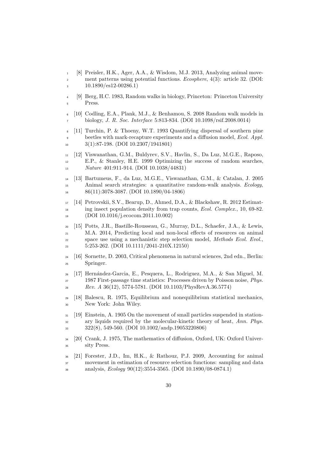- [8] Preisler, H.K., Ager, A.A., & Wisdom, M.J. 2013, Analyzing animal move- ment patterns using potential functions. Ecosphere, 4(3): article 32. (DOI:  $3 \qquad 10.1890/\text{es}12\text{-}00286.1)$
- [9] Berg, H.C. 1983, Random walks in biology, Princeton: Princeton University Press.
- $6\quad$  [10] Codling, E.A., Plank, M.J., & Benhamou, S. 2008 Random walk models in biology, J. R. Soc. Interface 5:813-834. (DOI 10.1098/rsif.2008.0014)
- [11] Turchin, P. & Thoeny, W.T. 1993 Quantifying dispersal of southern pine **9** beetles with mark-recapture experiments and a diffusion model, *Ecol. Appl.* 10 3(1):87-198. (DOI 10.2307/1941801)
- [12] Viswanathan, G.M., Buldyrev, S.V., Havlin, S., Da Luz, M.G.E., Raposo, E.P., & Stanley, H.E. 1999 Optimizing the success of random searches, *Nature* 401:911-914. (DOI 10.1038/44831)
- [13] Bartumeus, F., da Luz, M.G.E., Viswanathan, G.M., & Catalan, J. 2005 Animal search strategies: a quantitative random-walk analysis. Ecology, 86(11):3078-3087. (DOI 10.1890/04-1806)
- [14] Petrovskii, S.V., Bearup, D., Ahmed, D.A., & Blackshaw, R. 2012 Estimat-<sup>18</sup> ing insect population density from trap counts, *Ecol. Complex.*, 10, 69-82. (DOI 10.1016/j.ecocom.2011.10.002)
- [15] Potts, J.R., Bastille-Rousseau, G., Murray, D.L., Schaefer, J.A., & Lewis, M.A. 2014, Predicting local and non-local effects of resources on animal <sup>22</sup> space use using a mechanistic step selection model, *Methods Ecol. Evol.*, 5:253-262. (DOI 10.1111/2041-210X.12150)
- [16] Sornette, D. 2003, Critical phenomena in natural sciences, 2nd edn., Berlin: Springer.
- [17] Hern´andez-Garcia, E., Pesquera, L., Rodriguez, M.A., & San Miguel, M. 1987 First-passage time statistics: Processes driven by Poisson noise, Phys. Rev. A 36(12), 5774-5781. (DOI 10.1103/PhysRevA.36.5774)
- [18] Balescu, R. 1975, Equilibrium and nonequilibrium statistical mechanics, New York: John Wiley.
- [19] Einstein, A. 1905 On the movement of small particles suspended in station-32 ary liquids required by the molecular-kinetic theory of heat, Ann. Phys.  $33 \hspace{1.5cm} 322(8),\, 549-560. \; (DOI\ 10.1002/andp.19053220806)$
- [20] Crank, J. 1975, The mathematics of diffusion, Oxford, UK: Oxford Univer-sity Press.
- [21] Forester, J.D., Im, H.K., & Rathouz, P.J. 2009, Accounting for animal movement in estimation of resource selection functions: sampling and data analysis, Ecology 90(12):3554-3565. (DOI 10.1890/08-0874.1)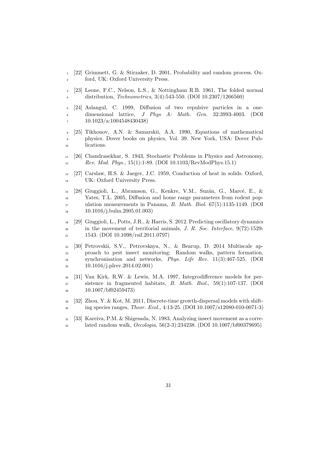- [22] Grimmett, G. & Stirzaker, D. 2001, Probability and random process. Ox-ford, UK: Oxford University Press.
- [23] Leone, F.C., Nelson, L.S., & Nottingham R.B. 1961, The folded normal distribution, *Technometrics*, 3(4):543-550. (DOI 10.2307/1266560)
- [24] Aslangul, C. 1999, Diffusion of two repulsive particles in a one-6 dimensional lattice, *J Phys A: Math. Gen.* 32:3993-4003. (DOI 10.1023/a:1004548430438)
- [25] Tikhonov, A.N. & Samarskii, A.A. 1990, Equations of mathematical physics. Dover books on physics, Vol. 39. New York, USA: Dover Pub-lications.
- [26] Chandrasekhar, S. 1943, Stochastic Problems in Physics and Astronomy, Rev. Mod. Phys., 15(1):1-89. (DOI 10.1103/RevModPhys.15.1)
- [27] Carslaw, H.S. & Jaeger, J.C. 1959, Conduction of heat in solids. Oxford, UK: Oxford University Press.
- 15 [28] Giuggioli, L., Abramson, G., Kenkre, V.M., Suzán, G., Marcé, E., & Yates, T.L. 2005, Diffusion and home range parameters from rodent pop- ulation measurements in Panama, B. Math. Biol. 67(5):1135-1149. (DOI 18 10.1016/j.bulm.2005.01.003)
- [29] Giuggioli, L., Potts, J.R., & Harris, S. 2012. Predicting oscillatory dynamics in the movement of territorial animals, J. R. Soc. Interface, 9(72):1529- 1543. (DOI 10.1098/rsif.2011.0797)
- [30] Petrovskii, S.V., Petrovskaya, N., & Bearup, D. 2014 Multiscale ap- proach to pest insect monitoring: Random walks, pattern formation, <sup>24</sup> synchronisation and networks, *Phys. Life Rev.* 11(3):467-525. (DOI 10.1016/j.plrev.2014.02.001)
- [31] Van Kirk, R.W. & Lewis, M.A. 1997, Integrodifference models for per- sistence in fragmented habitats, B. Math. Biol., 59(1):107-137. (DOI 10.1007/bf02459473)
- [32] Zhou, Y. & Kot, M. 2011, Discrete-time growth-dispersal models with shift-ing species ranges, Theor. Ecol., 4:13-25. (DOI 10.1007/s12080-010-0071-3)
- [33] Kareiva, P.M. & Shigesada, N. 1983, Analyzing insect movement as a corre-lated random walk, Oecologia, 56(2-3):234238. (DOI 10.1007/bf00379695)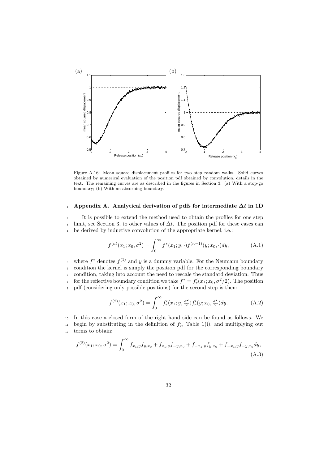

Figure A.16: Mean square displacement profiles for two step random walks. Solid curves obtained by numerical evaluation of the position pdf obtained by convolution, details in the text. The remaining curves are as described in the figures in Section 3. (a) With a stop-go boundary; (b) With an absorbing boundary.

#### $1$  Appendix A. Analytical derivation of pdfs for intermediate  $\Delta t$  in 1D

<sup>2</sup> It is possible to extend the method used to obtain the profiles for one step <sup>3</sup> limit, see Section 3, to other values of  $\Delta t$ . The position pdf for these cases can <sup>4</sup> be derived by inductive convolution of the appropriate kernel, i.e.:

$$
f^{(n)}(x_1; x_0, \sigma^2) = \int_0^\infty f^*(x_1; y, \cdot) f^{(n-1)}(y; x_0, \cdot) dy,
$$
 (A.1)

• where  $f^*$  denotes  $f^{(1)}$  and y is a dummy variable. For the Neumann boundary <sup>6</sup> condition the kernel is simply the position pdf for the corresponding boundary condition, taking into account the need to rescale the standard deviation. Thus <sup>8</sup> for the reflective boundary condition we take  $f^* = f'_r(x_1; x_0, σ^2/2)$ . The position <sup>9</sup> pdf (considering only possible positions) for the second step is then:

$$
f^{(2)}(x_1; x_0, \sigma^2) = \int_0^\infty f'_r(x_1; y, \frac{\sigma^2}{2}) f'_r(y; x_0, \frac{\sigma^2}{2}) dy.
$$
 (A.2)

<sup>10</sup> In this case a closed form of the right hand side can be found as follows. We  $\mu_1$  begin by substituting in the definition of  $f'_r$ , Table 1(i), and multiplying out <sup>12</sup> terms to obtain:

$$
f^{(2)}(x_1; x_0, \sigma^2) = \int_0^\infty f_{x_1, y} f_{y, x_0} + f_{x_1, y} f_{-y, x_0} + f_{-x_1, y} f_{y, x_0} + f_{-x_1, y} f_{-y, x_0} dy,
$$
\n(A.3)